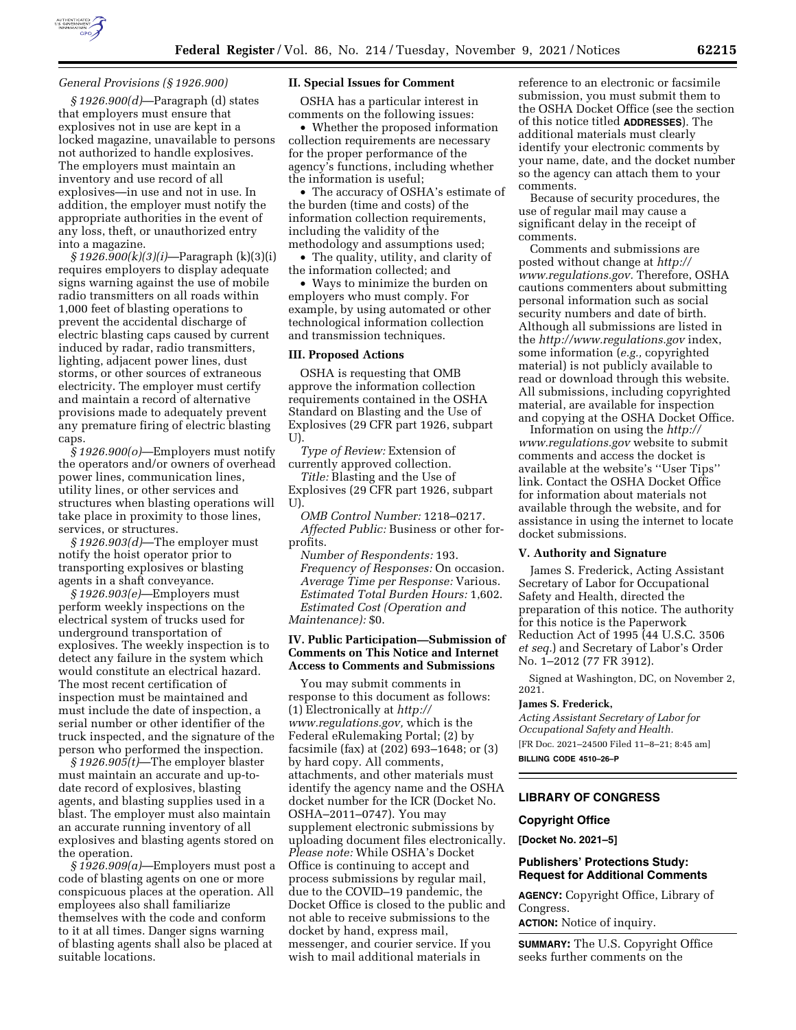

## *General Provisions (§ 1926.900)*

*§ 1926.900(d)*—Paragraph (d) states that employers must ensure that explosives not in use are kept in a locked magazine, unavailable to persons not authorized to handle explosives. The employers must maintain an inventory and use record of all explosives—in use and not in use. In addition, the employer must notify the appropriate authorities in the event of any loss, theft, or unauthorized entry into a magazine.

*§ 1926.900(k)(3)(i)*—Paragraph (k)(3)(i) requires employers to display adequate signs warning against the use of mobile radio transmitters on all roads within 1,000 feet of blasting operations to prevent the accidental discharge of electric blasting caps caused by current induced by radar, radio transmitters, lighting, adjacent power lines, dust storms, or other sources of extraneous electricity. The employer must certify and maintain a record of alternative provisions made to adequately prevent any premature firing of electric blasting caps.

*§ 1926.900(o)*—Employers must notify the operators and/or owners of overhead power lines, communication lines, utility lines, or other services and structures when blasting operations will take place in proximity to those lines, services, or structures.

*§ 1926.903(d)*—The employer must notify the hoist operator prior to transporting explosives or blasting agents in a shaft conveyance.

*§ 1926.903(e)*—Employers must perform weekly inspections on the electrical system of trucks used for underground transportation of explosives. The weekly inspection is to detect any failure in the system which would constitute an electrical hazard. The most recent certification of inspection must be maintained and must include the date of inspection, a serial number or other identifier of the truck inspected, and the signature of the person who performed the inspection.

*§ 1926.905(t)*—The employer blaster must maintain an accurate and up-todate record of explosives, blasting agents, and blasting supplies used in a blast. The employer must also maintain an accurate running inventory of all explosives and blasting agents stored on the operation.

*§ 1926.909(a)*—Employers must post a code of blasting agents on one or more conspicuous places at the operation. All employees also shall familiarize themselves with the code and conform to it at all times. Danger signs warning of blasting agents shall also be placed at suitable locations.

## **II. Special Issues for Comment**

OSHA has a particular interest in comments on the following issues:

• Whether the proposed information collection requirements are necessary for the proper performance of the agency's functions, including whether the information is useful;

• The accuracy of OSHA's estimate of the burden (time and costs) of the information collection requirements, including the validity of the methodology and assumptions used;

• The quality, utility, and clarity of the information collected; and

• Ways to minimize the burden on employers who must comply. For example, by using automated or other technological information collection and transmission techniques.

## **III. Proposed Actions**

OSHA is requesting that OMB approve the information collection requirements contained in the OSHA Standard on Blasting and the Use of Explosives (29 CFR part 1926, subpart U).

*Type of Review:* Extension of currently approved collection.

*Title:* Blasting and the Use of Explosives (29 CFR part 1926, subpart U).

*OMB Control Number:* 1218–0217. *Affected Public:* Business or other forprofits.

*Number of Respondents:* 193. *Frequency of Responses:* On occasion. *Average Time per Response:* Various. *Estimated Total Burden Hours:* 1,602. *Estimated Cost (Operation and Maintenance):* \$0.

# **IV. Public Participation—Submission of Comments on This Notice and Internet Access to Comments and Submissions**

You may submit comments in response to this document as follows: (1) Electronically at *[http://](http://www.regulations.gov) [www.regulations.gov,](http://www.regulations.gov)* which is the Federal eRulemaking Portal; (2) by facsimile (fax) at (202) 693–1648; or (3) by hard copy. All comments, attachments, and other materials must identify the agency name and the OSHA docket number for the ICR (Docket No. OSHA–2011–0747). You may supplement electronic submissions by uploading document files electronically. *Please note:* While OSHA's Docket Office is continuing to accept and process submissions by regular mail, due to the COVID–19 pandemic, the Docket Office is closed to the public and not able to receive submissions to the docket by hand, express mail, messenger, and courier service. If you wish to mail additional materials in

reference to an electronic or facsimile submission, you must submit them to the OSHA Docket Office (see the section of this notice titled **ADDRESSES**). The additional materials must clearly identify your electronic comments by your name, date, and the docket number so the agency can attach them to your comments.

Because of security procedures, the use of regular mail may cause a significant delay in the receipt of comments.

Comments and submissions are posted without change at *[http://](http://www.regulations.gov) [www.regulations.gov.](http://www.regulations.gov)* Therefore, OSHA cautions commenters about submitting personal information such as social security numbers and date of birth. Although all submissions are listed in the *<http://www.regulations.gov>*index, some information (*e.g.,* copyrighted material) is not publicly available to read or download through this website. All submissions, including copyrighted material, are available for inspection and copying at the OSHA Docket Office.

Information on using the *[http://](http://www.regulations.gov) [www.regulations.gov](http://www.regulations.gov)* website to submit comments and access the docket is available at the website's ''User Tips'' link. Contact the OSHA Docket Office for information about materials not available through the website, and for assistance in using the internet to locate docket submissions.

# **V. Authority and Signature**

James S. Frederick, Acting Assistant Secretary of Labor for Occupational Safety and Health, directed the preparation of this notice. The authority for this notice is the Paperwork Reduction Act of 1995 (44 U.S.C. 3506 *et seq.*) and Secretary of Labor's Order No. 1–2012 (77 FR 3912).

Signed at Washington, DC, on November 2, 2021.

## **James S. Frederick,**

*Acting Assistant Secretary of Labor for Occupational Safety and Health.*  [FR Doc. 2021–24500 Filed 11–8–21; 8:45 am]

**BILLING CODE 4510–26–P** 

# **LIBRARY OF CONGRESS**

## **Copyright Office**

**[Docket No. 2021–5]** 

# **Publishers' Protections Study: Request for Additional Comments**

**AGENCY:** Copyright Office, Library of Congress.

**ACTION:** Notice of inquiry.

**SUMMARY:** The U.S. Copyright Office seeks further comments on the